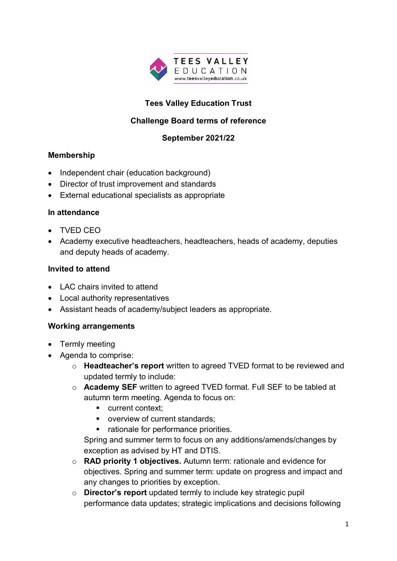

# **Tees Valley Education Trust**

## **Challenge Board terms of reference**

## **September 2021/22**

### **Membership**

- Independent chair (education background)
- Director of trust improvement and standards
- External educational specialists as appropriate

### **In attendance**

- TVED CEO
- Academy executive headteachers, headteachers, heads of academy, deputies and deputy heads of academy.

### **Invited to attend**

- LAC chairs invited to attend
- Local authority representatives
- Assistant heads of academy/subject leaders as appropriate.

### **Working arrangements**

- Termly meeting
- Agenda to comprise:
	- o **Headteacher's report** written to agreed TVED format to be reviewed and updated termly to include:
	- o **Academy SEF** written to agreed TVED format. Full SEF to be tabled at autumn term meeting. Agenda to focus on:
		- **u** current context:
		- **overview of current standards:**
		- rationale for performance priorities.

Spring and summer term to focus on any additions/amends/changes by exception as advised by HT and DTIS.

- o **RAD priority 1 objectives.** Autumn term: rationale and evidence for objectives. Spring and summer term: update on progress and impact and any changes to priorities by exception.
- o **Director's report** updated termly to include key strategic pupil performance data updates; strategic implications and decisions following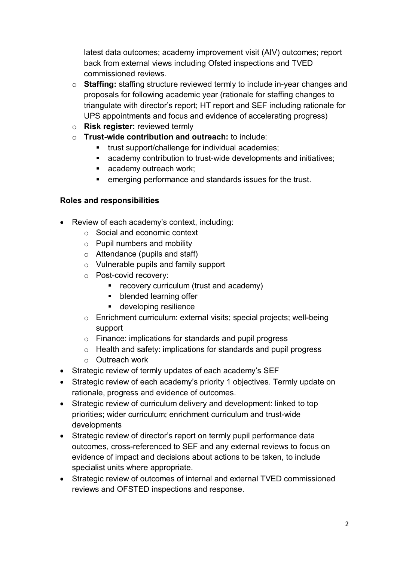latest data outcomes; academy improvement visit (AIV) outcomes; report back from external views including Ofsted inspections and TVED commissioned reviews.

- o **Staffing:** staffing structure reviewed termly to include in-year changes and proposals for following academic year (rationale for staffing changes to triangulate with director's report; HT report and SEF including rationale for UPS appointments and focus and evidence of accelerating progress)
- o **Risk register:** reviewed termly
- o **Trust-wide contribution and outreach:** to include:
	- **trust support/challenge for individual academies;**
	- academy contribution to trust-wide developments and initiatives;
	- academy outreach work;
	- emerging performance and standards issues for the trust.

## **Roles and responsibilities**

- Review of each academy's context, including:
	- o Social and economic context
	- o Pupil numbers and mobility
	- $\circ$  Attendance (pupils and staff)
	- o Vulnerable pupils and family support
	- o Post-covid recovery:
		- **•** recovery curriculum (trust and academy)
		- **•** blended learning offer
		- **developing resilience**
	- o Enrichment curriculum: external visits; special projects; well-being support
	- o Finance: implications for standards and pupil progress
	- o Health and safety: implications for standards and pupil progress
	- o Outreach work
- Strategic review of termly updates of each academy's SEF
- Strategic review of each academy's priority 1 objectives. Termly update on rationale, progress and evidence of outcomes.
- Strategic review of curriculum delivery and development: linked to top priorities; wider curriculum; enrichment curriculum and trust-wide developments
- Strategic review of director's report on termly pupil performance data outcomes, cross-referenced to SEF and any external reviews to focus on evidence of impact and decisions about actions to be taken, to include specialist units where appropriate.
- Strategic review of outcomes of internal and external TVED commissioned reviews and OFSTED inspections and response.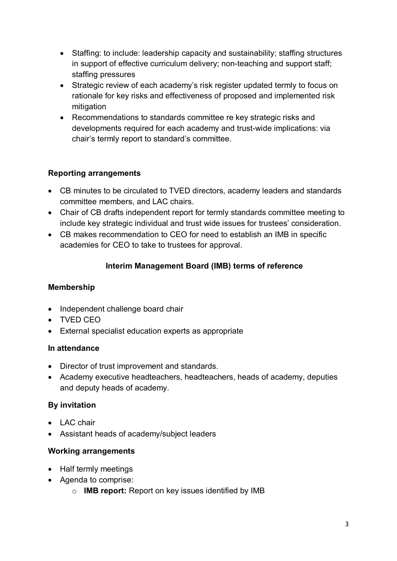- Staffing: to include: leadership capacity and sustainability; staffing structures in support of effective curriculum delivery; non-teaching and support staff; staffing pressures
- Strategic review of each academy's risk register updated termly to focus on rationale for key risks and effectiveness of proposed and implemented risk mitigation
- Recommendations to standards committee re key strategic risks and developments required for each academy and trust-wide implications: via chair's termly report to standard's committee.

# **Reporting arrangements**

- CB minutes to be circulated to TVED directors, academy leaders and standards committee members, and LAC chairs.
- Chair of CB drafts independent report for termly standards committee meeting to include key strategic individual and trust wide issues for trustees' consideration.
- CB makes recommendation to CEO for need to establish an IMB in specific academies for CEO to take to trustees for approval.

## **Interim Management Board (IMB) terms of reference**

## **Membership**

- Independent challenge board chair
- TVED CEO
- External specialist education experts as appropriate

## **In attendance**

- Director of trust improvement and standards.
- Academy executive headteachers, headteachers, heads of academy, deputies and deputy heads of academy.

# **By invitation**

- LAC chair
- Assistant heads of academy/subject leaders

# **Working arrangements**

- Half termly meetings
- Agenda to comprise:
	- o **IMB report:** Report on key issues identified by IMB